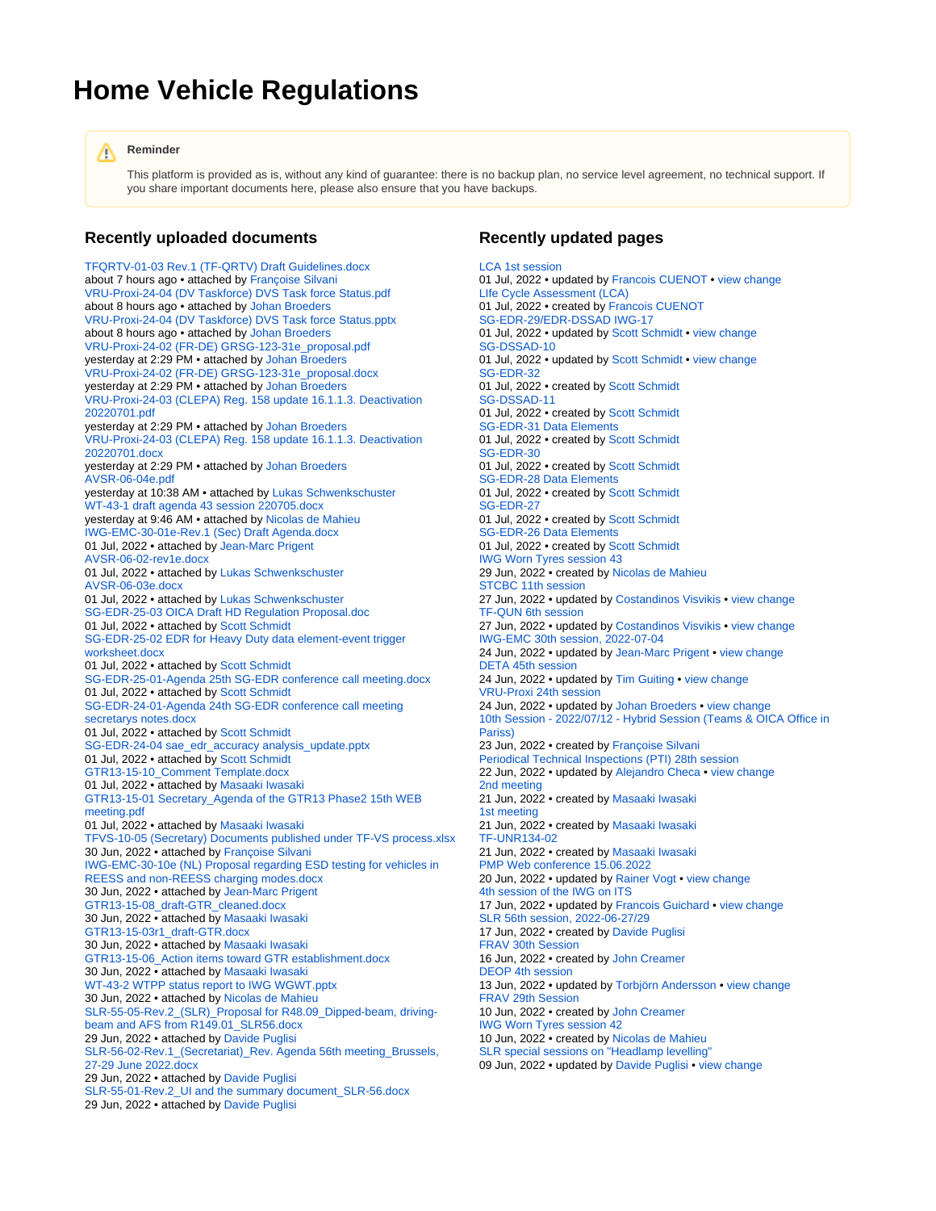## **Home Vehicle Regulations**

## **Reminder** Λ

This platform is provided as is, without any kind of guarantee: there is no backup plan, no service level agreement, no technical support. If you share important documents here, please also ensure that you have backups.

## **Recently uploaded documents**

[TFQRTV-01-03 Rev.1 \(TF-QRTV\) Draft Guidelines.docx](https://wiki.unece.org/display/trans/TF-QRTV+%28UN-R138-02%29+-+1st+Session+%28Virtual+only%29+-+May+20%2C+2022?preview=%2F166724669%2F172852262%2FTFQRTV-01-03+Rev.1+%28TF-QRTV%29+Draft+Guidelines.docx) about 7 hours ago • attached by [Françoise Silvani](https://wiki.unece.org/display/~silvani) [VRU-Proxi-24-04 \(DV Taskforce\) DVS Task force Status.pdf](https://wiki.unece.org/display/trans/VRU-Proxi+24th+session?preview=%2F172851979%2F172852261%2FVRU-Proxi-24-04+%28DV+Taskforce%29+DVS+Task+force+Status.pdf) about 8 hours ago • attached by [Johan Broeders](https://wiki.unece.org/display/~jbroeders) [VRU-Proxi-24-04 \(DV Taskforce\) DVS Task force Status.pptx](https://wiki.unece.org/display/trans/VRU-Proxi+24th+session?preview=%2F172851979%2F172852260%2FVRU-Proxi-24-04+%28DV+Taskforce%29+DVS+Task+force+Status.pptx) about 8 hours ago • attached by [Johan Broeders](https://wiki.unece.org/display/~jbroeders) [VRU-Proxi-24-02 \(FR-DE\) GRSG-123-31e\\_proposal.pdf](https://wiki.unece.org/display/trans/VRU-Proxi+24th+session?preview=%2F172851979%2F172852253%2FVRU-Proxi-24-02+%28FR-DE%29+GRSG-123-31e_proposal.pdf) yesterday at 2:29 PM • attached by [Johan Broeders](https://wiki.unece.org/display/~jbroeders) [VRU-Proxi-24-02 \(FR-DE\) GRSG-123-31e\\_proposal.docx](https://wiki.unece.org/display/trans/VRU-Proxi+24th+session?preview=%2F172851979%2F172852252%2FVRU-Proxi-24-02+%28FR-DE%29+GRSG-123-31e_proposal.docx) yesterday at 2:29 PM • attached by [Johan Broeders](https://wiki.unece.org/display/~jbroeders) [VRU-Proxi-24-03 \(CLEPA\) Reg. 158 update 16.1.1.3. Deactivation](https://wiki.unece.org/display/trans/VRU-Proxi+24th+session?preview=%2F172851979%2F172852251%2FVRU-Proxi-24-03+%28CLEPA%29+Reg.+158+update+16.1.1.3.+Deactivation+20220701.pdf)  [20220701.pdf](https://wiki.unece.org/display/trans/VRU-Proxi+24th+session?preview=%2F172851979%2F172852251%2FVRU-Proxi-24-03+%28CLEPA%29+Reg.+158+update+16.1.1.3.+Deactivation+20220701.pdf) yesterday at 2:29 PM • attached by [Johan Broeders](https://wiki.unece.org/display/~jbroeders) [VRU-Proxi-24-03 \(CLEPA\) Reg. 158 update 16.1.1.3. Deactivation](https://wiki.unece.org/display/trans/VRU-Proxi+24th+session?preview=%2F172851979%2F172852250%2FVRU-Proxi-24-03+%28CLEPA%29+Reg.+158+update+16.1.1.3.+Deactivation+20220701.docx)  [20220701.docx](https://wiki.unece.org/display/trans/VRU-Proxi+24th+session?preview=%2F172851979%2F172852250%2FVRU-Proxi-24-03+%28CLEPA%29+Reg.+158+update+16.1.1.3.+Deactivation+20220701.docx) yesterday at 2:29 PM • attached by [Johan Broeders](https://wiki.unece.org/display/~jbroeders) [AVSR-06-04e.pdf](https://wiki.unece.org/display/trans/AVSR+-+6th+session%2C+2022-06-15?preview=%2F169018004%2F172852247%2FAVSR-06-04e.pdf) yesterday at 10:38 AM • attached by [Lukas Schwenkschuster](https://wiki.unece.org/display/~lschwenkschuster) [WT-43-1 draft agenda 43 session 220705.docx](https://wiki.unece.org/display/trans/IWG+Worn+Tyres+session+43?preview=%2F172852139%2F172852243%2FWT-43-1+draft+agenda+43+session+220705.docx) yesterday at 9:46 AM • attached by [Nicolas de Mahieu](https://wiki.unece.org/display/~mahieu) [IWG-EMC-30-01e-Rev.1 \(Sec\) Draft Agenda.docx](https://wiki.unece.org/display/trans/IWG-EMC+30th+session%2C+2022-07-04?preview=%2F172851986%2F172852226%2FIWG-EMC-30-01e-Rev.1+%28Sec%29+Draft+Agenda.docx) 01 Jul, 2022 • attached by [Jean-Marc Prigent](https://wiki.unece.org/display/~prigent) [AVSR-06-02-rev1e.docx](https://wiki.unece.org/display/trans/AVSR+-+6th+session%2C+2022-06-15?preview=%2F169018004%2F172852223%2FAVSR-06-02-rev1e.docx) 01 Jul, 2022 • attached by [Lukas Schwenkschuster](https://wiki.unece.org/display/~lschwenkschuster) [AVSR-06-03e.docx](https://wiki.unece.org/display/trans/AVSR+-+6th+session%2C+2022-06-15?preview=%2F169018004%2F172852224%2FAVSR-06-03e.docx) 01 Jul, 2022 • attached by [Lukas Schwenkschuster](https://wiki.unece.org/display/~lschwenkschuster) [SG-EDR-25-03 OICA Draft HD Regulation Proposal.doc](https://wiki.unece.org/display/trans/SG-EDR-25?preview=%2F172851240%2F172852217%2FSG-EDR-25-03+OICA+Draft+HD+Regulation+Proposal.doc) 01 Jul, 2022 • attached by [Scott Schmidt](https://wiki.unece.org/display/~sschmidt) [SG-EDR-25-02 EDR for Heavy Duty data element-event trigger](https://wiki.unece.org/display/trans/SG-EDR-25?preview=%2F172851240%2F172852216%2FSG-EDR-25-02+EDR+for+Heavy+Duty+data+element-event+trigger+worksheet.docx)  [worksheet.docx](https://wiki.unece.org/display/trans/SG-EDR-25?preview=%2F172851240%2F172852216%2FSG-EDR-25-02+EDR+for+Heavy+Duty+data+element-event+trigger+worksheet.docx) 01 Jul, 2022 • attached by [Scott Schmidt](https://wiki.unece.org/display/~sschmidt) [SG-EDR-25-01-Agenda 25th SG-EDR conference call meeting.docx](https://wiki.unece.org/display/trans/SG-EDR-25?preview=%2F172851240%2F172852215%2FSG-EDR-25-01-Agenda+25th+SG-EDR+conference+call+meeting.docx) 01 Jul, 2022 • attached by [Scott Schmidt](https://wiki.unece.org/display/~sschmidt) [SG-EDR-24-01-Agenda 24th SG-EDR conference call meeting](https://wiki.unece.org/display/trans/SG-EDR-24?preview=%2F169017606%2F172852214%2FSG-EDR-24-01-Agenda+24th+SG-EDR+conference+call+meeting+secretarys+notes.docx)  [secretarys notes.docx](https://wiki.unece.org/display/trans/SG-EDR-24?preview=%2F169017606%2F172852214%2FSG-EDR-24-01-Agenda+24th+SG-EDR+conference+call+meeting+secretarys+notes.docx) 01 Jul, 2022 • attached by [Scott Schmidt](https://wiki.unece.org/display/~sschmidt) [SG-EDR-24-04 sae\\_edr\\_accuracy analysis\\_update.pptx](https://wiki.unece.org/display/trans/SG-EDR-24?preview=%2F169017606%2F172852213%2FSG-EDR-24-04+sae_edr_accuracy+analysis_update.pptx) 01 Jul, 2022 • attached by [Scott Schmidt](https://wiki.unece.org/display/~sschmidt) [GTR13-15-10\\_Comment Template.docx](https://wiki.unece.org/display/trans/GTR13-2-15th+session?preview=%2F171868208%2F172852169%2FGTR13-15-10_Comment+Template.docx) 01 Jul, 2022 • attached by [Masaaki Iwasaki](https://wiki.unece.org/display/~miwasaki) [GTR13-15-01 Secretary\\_Agenda of the GTR13 Phase2 15th WEB](https://wiki.unece.org/display/trans/GTR13-2-15th+session?preview=%2F171868208%2F172852078%2FGTR13-15-01++Secretary_Agenda+of+the+GTR13+Phase2+15th+WEB+meeting.pdf)  [meeting.pdf](https://wiki.unece.org/display/trans/GTR13-2-15th+session?preview=%2F171868208%2F172852078%2FGTR13-15-01++Secretary_Agenda+of+the+GTR13+Phase2+15th+WEB+meeting.pdf) 01 Jul, 2022 • attached by [Masaaki Iwasaki](https://wiki.unece.org/display/~miwasaki) [TFVS-10-05 \(Secretary\) Documents published under TF-VS process.xlsx](https://wiki.unece.org/pages/viewpage.action?pageId=172851945&preview=%2F172851945%2F172852159%2FTFVS-10-05+%28Secretary%29+Documents+published+under+TF-VS+process.xlsx) 30 Jun, 2022 • attached by [Françoise Silvani](https://wiki.unece.org/display/~silvani) [IWG-EMC-30-10e \(NL\) Proposal regarding ESD testing for vehicles in](https://wiki.unece.org/display/trans/IWG-EMC+30th+session%2C+2022-07-04?preview=%2F172851986%2F172852158%2FIWG-EMC-30-10e+%28NL%29+Proposal+regarding+ESD+testing+for+vehicles+in+REESS+and+non-REESS+charging+modes.docx)  [REESS and non-REESS charging modes.docx](https://wiki.unece.org/display/trans/IWG-EMC+30th+session%2C+2022-07-04?preview=%2F172851986%2F172852158%2FIWG-EMC-30-10e+%28NL%29+Proposal+regarding+ESD+testing+for+vehicles+in+REESS+and+non-REESS+charging+modes.docx) 30 Jun, 2022 • attached by [Jean-Marc Prigent](https://wiki.unece.org/display/~prigent) [GTR13-15-08\\_draft-GTR\\_cleaned.docx](https://wiki.unece.org/display/trans/GTR13-2-15th+session?preview=%2F171868208%2F172852157%2FGTR13-15-08_draft-GTR_cleaned.docx) 30 Jun, 2022 • attached by [Masaaki Iwasaki](https://wiki.unece.org/display/~miwasaki) [GTR13-15-03r1\\_draft-GTR.docx](https://wiki.unece.org/display/trans/GTR13-2-15th+session?preview=%2F171868208%2F172852156%2FGTR13-15-03r1_draft-GTR.docx) 30 Jun, 2022 • attached by [Masaaki Iwasaki](https://wiki.unece.org/display/~miwasaki) [GTR13-15-06\\_Action items toward GTR establishment.docx](https://wiki.unece.org/display/trans/GTR13-2-15th+session?preview=%2F171868208%2F172852155%2FGTR13-15-06_Action+items+toward+GTR+establishment.docx) 30 Jun, 2022 • attached by [Masaaki Iwasaki](https://wiki.unece.org/display/~miwasaki) [WT-43-2 WTPP status report to IWG WGWT.pptx](https://wiki.unece.org/display/trans/IWG+Worn+Tyres+session+43?preview=%2F172852139%2F172852152%2FWT-43-2++WTPP+status+report+to+IWG+WGWT.pptx) 30 Jun, 2022 • attached by [Nicolas de Mahieu](https://wiki.unece.org/display/~mahieu) [SLR-55-05-Rev.2\\_\(SLR\)\\_Proposal for R48.09\\_Dipped-beam, driving](https://wiki.unece.org/pages/viewpage.action?pageId=169017590&preview=%2F169017590%2F172852150%2FSLR-55-05-Rev.2_%28SLR%29_Proposal+for+R48.09_Dipped-beam%2C+driving-beam+and+AFS+from+R149.01_SLR56.docx)[beam and AFS from R149.01\\_SLR56.docx](https://wiki.unece.org/pages/viewpage.action?pageId=169017590&preview=%2F169017590%2F172852150%2FSLR-55-05-Rev.2_%28SLR%29_Proposal+for+R48.09_Dipped-beam%2C+driving-beam+and+AFS+from+R149.01_SLR56.docx) 29 Jun, 2022 • attached by [Davide Puglisi](https://wiki.unece.org/display/~puglisi) [SLR-56-02-Rev.1\\_\(Secretariat\)\\_Rev. Agenda 56th meeting\\_Brussels,](https://wiki.unece.org/pages/viewpage.action?pageId=172851509&preview=%2F172851509%2F172852149%2FSLR-56-02-Rev.1_%28Secretariat%29_Rev.+Agenda+56th+meeting_Brussels%2C+27-29+June+2022.docx)  [27-29 June 2022.docx](https://wiki.unece.org/pages/viewpage.action?pageId=172851509&preview=%2F172851509%2F172852149%2FSLR-56-02-Rev.1_%28Secretariat%29_Rev.+Agenda+56th+meeting_Brussels%2C+27-29+June+2022.docx) 29 Jun, 2022 • attached by [Davide Puglisi](https://wiki.unece.org/display/~puglisi) [SLR-55-01-Rev.2\\_UI and the summary document\\_SLR-56.docx](https://wiki.unece.org/pages/viewpage.action?pageId=169017590&preview=%2F169017590%2F172852148%2FSLR-55-01-Rev.2_UI+and+the+summary+document_SLR-56.docx) 29 Jun, 2022 • attached by [Davide Puglisi](https://wiki.unece.org/display/~puglisi)

## **Recently updated pages**

[LCA 1st session](https://wiki.unece.org/display/trans/LCA+1st+session) 01 Jul, 2022 • updated by [Francois CUENOT](https://wiki.unece.org/display/~cuenot) • [view change](https://wiki.unece.org/pages/diffpagesbyversion.action?pageId=172852238&selectedPageVersions=2&selectedPageVersions=1) [LIfe Cycle Assessment \(LCA\)](https://wiki.unece.org/pages/viewpage.action?pageId=172852228) 01 Jul, 2022 • created by [Francois CUENOT](https://wiki.unece.org/display/~cuenot) [SG-EDR-29/EDR-DSSAD IWG-17](https://wiki.unece.org/pages/viewpage.action?pageId=172852202) 01 Jul, 2022 • updated by [Scott Schmidt](https://wiki.unece.org/display/~sschmidt) • [view change](https://wiki.unece.org/pages/diffpagesbyversion.action?pageId=172852202&selectedPageVersions=2&selectedPageVersions=1) [SG-DSSAD-10](https://wiki.unece.org/display/trans/SG-DSSAD-10) 01 Jul, 2022 • updated by [Scott Schmidt](https://wiki.unece.org/display/~sschmidt) • [view change](https://wiki.unece.org/pages/diffpagesbyversion.action?pageId=172852196&selectedPageVersions=2&selectedPageVersions=1) [SG-EDR-32](https://wiki.unece.org/display/trans/SG-EDR-32) 01 Jul, 2022 • created by [Scott Schmidt](https://wiki.unece.org/display/~sschmidt) [SG-DSSAD-11](https://wiki.unece.org/display/trans/SG-DSSAD-11) 01 Jul, 2022 • created by [Scott Schmidt](https://wiki.unece.org/display/~sschmidt) [SG-EDR-31 Data Elements](https://wiki.unece.org/display/trans/SG-EDR-31+Data+Elements) 01 Jul, 2022 • created by [Scott Schmidt](https://wiki.unece.org/display/~sschmidt) [SG-EDR-30](https://wiki.unece.org/display/trans/SG-EDR-30) 01 Jul, 2022 • created by [Scott Schmidt](https://wiki.unece.org/display/~sschmidt) [SG-EDR-28 Data Elements](https://wiki.unece.org/display/trans/SG-EDR-28+Data+Elements) 01 Jul, 2022 • created by [Scott Schmidt](https://wiki.unece.org/display/~sschmidt) [SG-EDR-27](https://wiki.unece.org/display/trans/SG-EDR-27) 01 Jul, 2022 • created by [Scott Schmidt](https://wiki.unece.org/display/~sschmidt) [SG-EDR-26 Data Elements](https://wiki.unece.org/display/trans/SG-EDR-26+Data+Elements) 01 Jul, 2022 • created by [Scott Schmidt](https://wiki.unece.org/display/~sschmidt) [IWG Worn Tyres session 43](https://wiki.unece.org/display/trans/IWG+Worn+Tyres+session+43) 29 Jun, 2022 • created by [Nicolas de Mahieu](https://wiki.unece.org/display/~mahieu) [STCBC 11th session](https://wiki.unece.org/display/trans/STCBC+11th+session) 27 Jun, 2022 • updated by [Costandinos Visvikis](https://wiki.unece.org/display/~cvisvikis) • [view change](https://wiki.unece.org/pages/diffpagesbyversion.action?pageId=172852046&selectedPageVersions=2&selectedPageVersions=1) [TF-QUN 6th session](https://wiki.unece.org/display/trans/TF-QUN+6th+session) 27 Jun, 2022 • updated by [Costandinos Visvikis](https://wiki.unece.org/display/~cvisvikis) • [view change](https://wiki.unece.org/pages/diffpagesbyversion.action?pageId=172852041&selectedPageVersions=3&selectedPageVersions=2) [IWG-EMC 30th session, 2022-07-04](https://wiki.unece.org/display/trans/IWG-EMC+30th+session%2C+2022-07-04) 24 Jun, 2022 • updated by [Jean-Marc Prigent](https://wiki.unece.org/display/~prigent) • [view change](https://wiki.unece.org/pages/diffpagesbyversion.action?pageId=172851986&selectedPageVersions=3&selectedPageVersions=2) [DETA 45th session](https://wiki.unece.org/display/trans/DETA+45th+session) 24 Jun, 2022 • updated by [Tim Guiting](https://wiki.unece.org/display/~guiting) • [view change](https://wiki.unece.org/pages/diffpagesbyversion.action?pageId=172851382&selectedPageVersions=2&selectedPageVersions=1) [VRU-Proxi 24th session](https://wiki.unece.org/display/trans/VRU-Proxi+24th+session) 24 Jun, 2022 • updated by [Johan Broeders](https://wiki.unece.org/display/~jbroeders) • [view change](https://wiki.unece.org/pages/diffpagesbyversion.action?pageId=172851979&selectedPageVersions=2&selectedPageVersions=1) [10th Session - 2022/07/12 - Hybrid Session \(Teams & OICA Office in](https://wiki.unece.org/pages/viewpage.action?pageId=172851945)  [Pariss\)](https://wiki.unece.org/pages/viewpage.action?pageId=172851945) 23 Jun, 2022 • created by [Françoise Silvani](https://wiki.unece.org/display/~silvani) [Periodical Technical Inspections \(PTI\) 28th session](https://wiki.unece.org/display/trans/Periodical+Technical+Inspections+%28PTI%29+28th+session) 22 Jun, 2022 • updated by [Alejandro Checa](https://wiki.unece.org/display/~acheca) • [view change](https://wiki.unece.org/pages/diffpagesbyversion.action?pageId=171868219&selectedPageVersions=2&selectedPageVersions=1) [2nd meeting](https://wiki.unece.org/display/trans/2nd+meeting) 21 Jun, 2022 • created by [Masaaki Iwasaki](https://wiki.unece.org/display/~miwasaki) [1st meeting](https://wiki.unece.org/display/trans/1st+meeting) 21 Jun, 2022 • created by [Masaaki Iwasaki](https://wiki.unece.org/display/~miwasaki) [TF-UNR134-02](https://wiki.unece.org/display/trans/TF-UNR134-02) 21 Jun, 2022 • created by [Masaaki Iwasaki](https://wiki.unece.org/display/~miwasaki) [PMP Web conference 15.06.2022](https://wiki.unece.org/display/trans/PMP+Web+conference+15.06.2022) 20 Jun, 2022 • updated by [Rainer Vogt](https://wiki.unece.org/display/~rvogt) • [view change](https://wiki.unece.org/pages/diffpagesbyversion.action?pageId=172851532&selectedPageVersions=2&selectedPageVersions=1) [4th session of the IWG on ITS](https://wiki.unece.org/display/trans/4th+session+of+the+IWG+on+ITS) 17 Jun, 2022 • updated by [Francois Guichard](https://wiki.unece.org/display/~Guichard) • [view change](https://wiki.unece.org/pages/diffpagesbyversion.action?pageId=169018289&selectedPageVersions=6&selectedPageVersions=5) [SLR 56th session, 2022-06-27/29](https://wiki.unece.org/pages/viewpage.action?pageId=172851509) 17 Jun, 2022 • created by [Davide Puglisi](https://wiki.unece.org/display/~puglisi) [FRAV 30th Session](https://wiki.unece.org/display/trans/FRAV+30th+Session) 16 Jun, 2022 • created by [John Creamer](https://wiki.unece.org/display/~jcreamer) [DEOP 4th session](https://wiki.unece.org/display/trans/DEOP+4th+session) 13 Jun, 2022 • updated by [Torbjörn Andersson](https://wiki.unece.org/display/~tandersson) • [view change](https://wiki.unece.org/pages/diffpagesbyversion.action?pageId=172851312&selectedPageVersions=3&selectedPageVersions=2) [FRAV 29th Session](https://wiki.unece.org/display/trans/FRAV+29th+Session) 10 Jun, 2022 • created by [John Creamer](https://wiki.unece.org/display/~jcreamer) [IWG Worn Tyres session 42](https://wiki.unece.org/display/trans/IWG+Worn+Tyres+session+42) 10 Jun, 2022 • created by [Nicolas de Mahieu](https://wiki.unece.org/display/~mahieu) [SLR special sessions on "Headlamp levelling"](https://wiki.unece.org/pages/viewpage.action?pageId=113345289) 09 Jun, 2022 • updated by [Davide Puglisi](https://wiki.unece.org/display/~puglisi) • [view change](https://wiki.unece.org/pages/diffpagesbyversion.action?pageId=113345289&selectedPageVersions=8&selectedPageVersions=7)